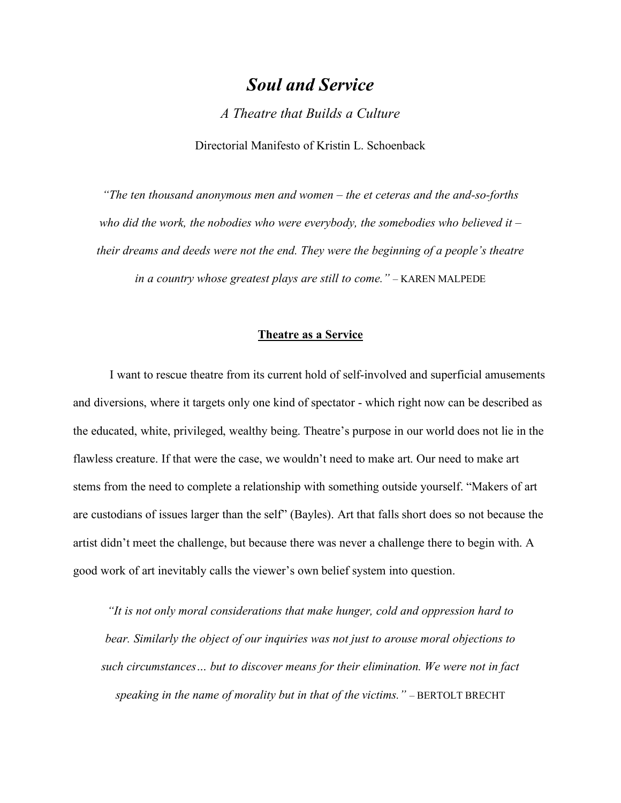### *Soul and Service*

*A Theatre that Builds a Culture*

Directorial Manifesto of Kristin L. Schoenback

*"The ten thousand anonymous men and women – the et ceteras and the and-so-forths who did the work, the nobodies who were everybody, the somebodies who believed it – their dreams and deeds were not the end. They were the beginning of a people's theatre in a country whose greatest plays are still to come."* – KAREN MALPEDE

#### **Theatre as a Service**

I want to rescue theatre from its current hold of self-involved and superficial amusements and diversions, where it targets only one kind of spectator - which right now can be described as the educated, white, privileged, wealthy being. Theatre's purpose in our world does not lie in the flawless creature. If that were the case, we wouldn't need to make art. Our need to make art stems from the need to complete a relationship with something outside yourself. "Makers of art are custodians of issues larger than the self" (Bayles). Art that falls short does so not because the artist didn't meet the challenge, but because there was never a challenge there to begin with. A good work of art inevitably calls the viewer's own belief system into question.

*"It is not only moral considerations that make hunger, cold and oppression hard to bear. Similarly the object of our inquiries was not just to arouse moral objections to such circumstances… but to discover means for their elimination. We were not in fact speaking in the name of morality but in that of the victims."* – BERTOLT BRECHT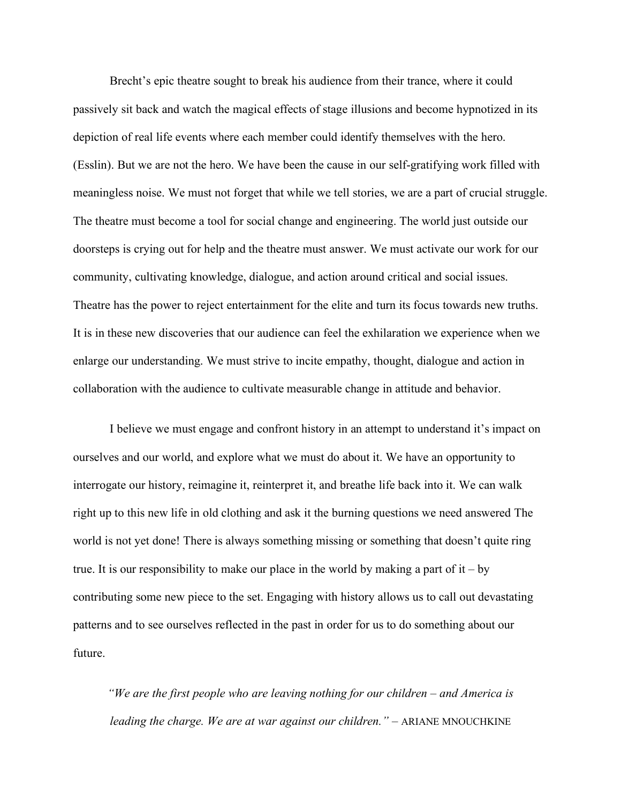Brecht's epic theatre sought to break his audience from their trance, where it could passively sit back and watch the magical effects of stage illusions and become hypnotized in its depiction of real life events where each member could identify themselves with the hero. (Esslin). But we are not the hero. We have been the cause in our self-gratifying work filled with meaningless noise. We must not forget that while we tell stories, we are a part of crucial struggle. The theatre must become a tool for social change and engineering. The world just outside our doorsteps is crying out for help and the theatre must answer. We must activate our work for our community, cultivating knowledge, dialogue, and action around critical and social issues. Theatre has the power to reject entertainment for the elite and turn its focus towards new truths. It is in these new discoveries that our audience can feel the exhilaration we experience when we enlarge our understanding. We must strive to incite empathy, thought, dialogue and action in collaboration with the audience to cultivate measurable change in attitude and behavior.

I believe we must engage and confront history in an attempt to understand it's impact on ourselves and our world, and explore what we must do about it. We have an opportunity to interrogate our history, reimagine it, reinterpret it, and breathe life back into it. We can walk right up to this new life in old clothing and ask it the burning questions we need answered The world is not yet done! There is always something missing or something that doesn't quite ring true. It is our responsibility to make our place in the world by making a part of  $it - by$ contributing some new piece to the set. Engaging with history allows us to call out devastating patterns and to see ourselves reflected in the past in order for us to do something about our future.

*"We are the first people who are leaving nothing for our children – and America is leading the charge. We are at war against our children."* – ARIANE MNOUCHKINE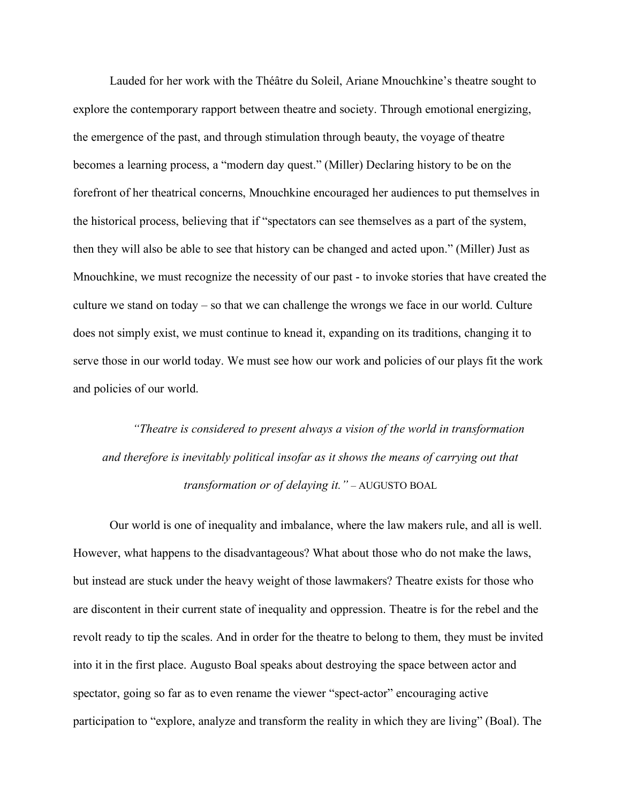Lauded for her work with the Théâtre du Soleil, Ariane Mnouchkine's theatre sought to explore the contemporary rapport between theatre and society. Through emotional energizing, the emergence of the past, and through stimulation through beauty, the voyage of theatre becomes a learning process, a "modern day quest." (Miller) Declaring history to be on the forefront of her theatrical concerns, Mnouchkine encouraged her audiences to put themselves in the historical process, believing that if "spectators can see themselves as a part of the system, then they will also be able to see that history can be changed and acted upon." (Miller) Just as Mnouchkine, we must recognize the necessity of our past - to invoke stories that have created the culture we stand on today – so that we can challenge the wrongs we face in our world. Culture does not simply exist, we must continue to knead it, expanding on its traditions, changing it to serve those in our world today. We must see how our work and policies of our plays fit the work and policies of our world.

*"Theatre is considered to present always a vision of the world in transformation and therefore is inevitably political insofar as it shows the means of carrying out that transformation or of delaying it."* – AUGUSTO BOAL

Our world is one of inequality and imbalance, where the law makers rule, and all is well. However, what happens to the disadvantageous? What about those who do not make the laws, but instead are stuck under the heavy weight of those lawmakers? Theatre exists for those who are discontent in their current state of inequality and oppression. Theatre is for the rebel and the revolt ready to tip the scales. And in order for the theatre to belong to them, they must be invited into it in the first place. Augusto Boal speaks about destroying the space between actor and spectator, going so far as to even rename the viewer "spect-actor" encouraging active participation to "explore, analyze and transform the reality in which they are living" (Boal). The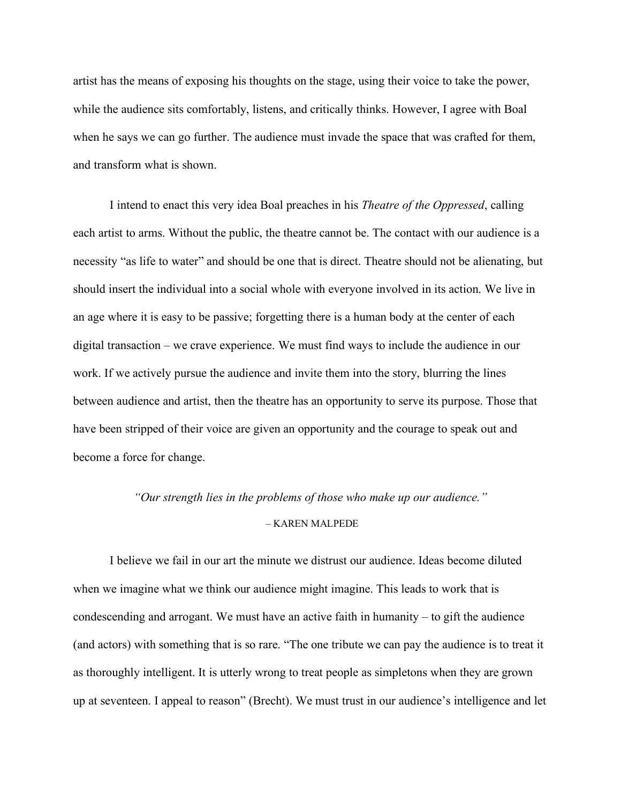artist has the means of exposing his thoughts on the stage, using their voice to take the power, while the audience sits comfortably, listens, and critically thinks. However, I agree with Boal when he says we can go further. The audience must invade the space that was crafted for them, and transform what is shown.

I intend to enact this very idea Boal preaches in his *Theatre of the Oppressed*, calling each artist to arms. Without the public, the theatre cannot be. The contact with our audience is a necessity "as life to water" and should be one that is direct. Theatre should not be alienating, but should insert the individual into a social whole with everyone involved in its action. We live in an age where it is easy to be passive; forgetting there is a human body at the center of each digital transaction – we crave experience. We must find ways to include the audience in our work. If we actively pursue the audience and invite them into the story, blurring the lines between audience and artist, then the theatre has an opportunity to serve its purpose. Those that have been stripped of their voice are given an opportunity and the courage to speak out and become a force for change.

# *"Our strength lies in the problems of those who make up our audience."* – KAREN MALPEDE

I believe we fail in our art the minute we distrust our audience. Ideas become diluted when we imagine what we think our audience might imagine. This leads to work that is condescending and arrogant. We must have an active faith in humanity – to gift the audience (and actors) with something that is so rare. "The one tribute we can pay the audience is to treat it as thoroughly intelligent. It is utterly wrong to treat people as simpletons when they are grown up at seventeen. I appeal to reason" (Brecht). We must trust in our audience's intelligence and let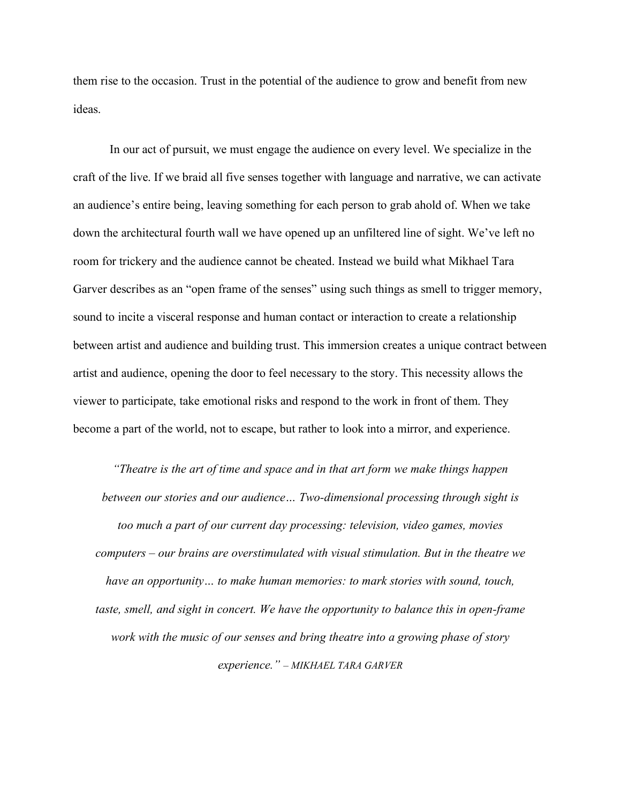them rise to the occasion. Trust in the potential of the audience to grow and benefit from new ideas.

In our act of pursuit, we must engage the audience on every level. We specialize in the craft of the live. If we braid all five senses together with language and narrative, we can activate an audience's entire being, leaving something for each person to grab ahold of. When we take down the architectural fourth wall we have opened up an unfiltered line of sight. We've left no room for trickery and the audience cannot be cheated. Instead we build what Mikhael Tara Garver describes as an "open frame of the senses" using such things as smell to trigger memory, sound to incite a visceral response and human contact or interaction to create a relationship between artist and audience and building trust. This immersion creates a unique contract between artist and audience, opening the door to feel necessary to the story. This necessity allows the viewer to participate, take emotional risks and respond to the work in front of them. They become a part of the world, not to escape, but rather to look into a mirror, and experience.

*"Theatre is the art of time and space and in that art form we make things happen between our stories and our audience… Two-dimensional processing through sight is too much a part of our current day processing: television, video games, movies computers – our brains are overstimulated with visual stimulation. But in the theatre we have an opportunity… to make human memories: to mark stories with sound, touch, taste, smell, and sight in concert. We have the opportunity to balance this in open-frame work with the music of our senses and bring theatre into a growing phase of story experience." – MIKHAEL TARA GARVER*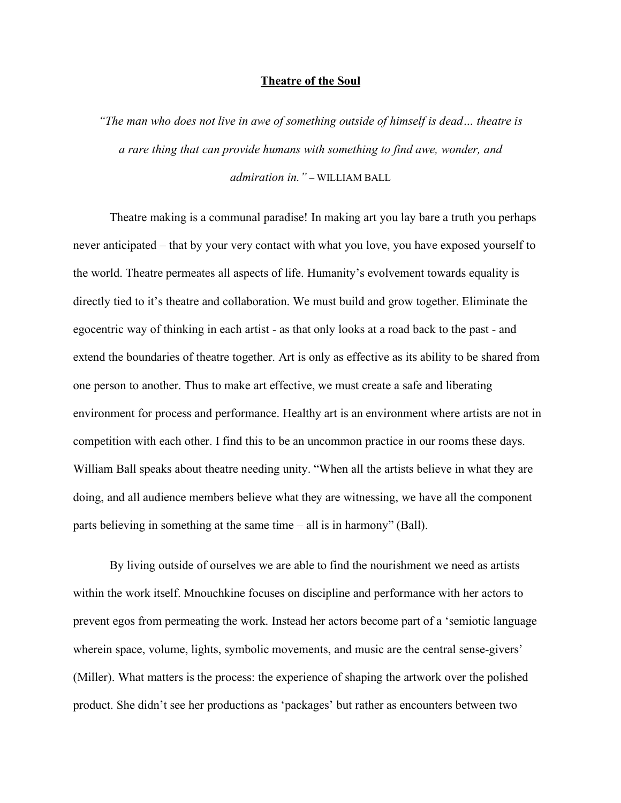#### **Theatre of the Soul**

*"The man who does not live in awe of something outside of himself is dead… theatre is a rare thing that can provide humans with something to find awe, wonder, and admiration in."* – WILLIAM BALL

Theatre making is a communal paradise! In making art you lay bare a truth you perhaps never anticipated – that by your very contact with what you love, you have exposed yourself to the world. Theatre permeates all aspects of life. Humanity's evolvement towards equality is directly tied to it's theatre and collaboration. We must build and grow together. Eliminate the egocentric way of thinking in each artist - as that only looks at a road back to the past - and extend the boundaries of theatre together. Art is only as effective as its ability to be shared from one person to another. Thus to make art effective, we must create a safe and liberating environment for process and performance. Healthy art is an environment where artists are not in competition with each other. I find this to be an uncommon practice in our rooms these days. William Ball speaks about theatre needing unity. "When all the artists believe in what they are doing, and all audience members believe what they are witnessing, we have all the component parts believing in something at the same time – all is in harmony" (Ball).

By living outside of ourselves we are able to find the nourishment we need as artists within the work itself. Mnouchkine focuses on discipline and performance with her actors to prevent egos from permeating the work. Instead her actors become part of a 'semiotic language wherein space, volume, lights, symbolic movements, and music are the central sense-givers' (Miller). What matters is the process: the experience of shaping the artwork over the polished product. She didn't see her productions as 'packages' but rather as encounters between two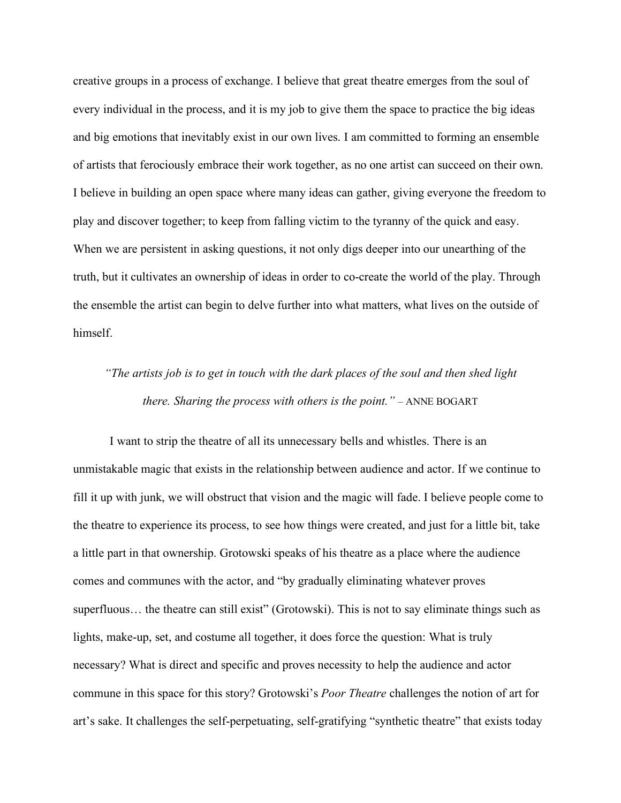creative groups in a process of exchange. I believe that great theatre emerges from the soul of every individual in the process, and it is my job to give them the space to practice the big ideas and big emotions that inevitably exist in our own lives. I am committed to forming an ensemble of artists that ferociously embrace their work together, as no one artist can succeed on their own. I believe in building an open space where many ideas can gather, giving everyone the freedom to play and discover together; to keep from falling victim to the tyranny of the quick and easy. When we are persistent in asking questions, it not only digs deeper into our unearthing of the truth, but it cultivates an ownership of ideas in order to co-create the world of the play. Through the ensemble the artist can begin to delve further into what matters, what lives on the outside of himself.

## *"The artists job is to get in touch with the dark places of the soul and then shed light there. Sharing the process with others is the point."* – ANNE BOGART

I want to strip the theatre of all its unnecessary bells and whistles. There is an unmistakable magic that exists in the relationship between audience and actor. If we continue to fill it up with junk, we will obstruct that vision and the magic will fade. I believe people come to the theatre to experience its process, to see how things were created, and just for a little bit, take a little part in that ownership. Grotowski speaks of his theatre as a place where the audience comes and communes with the actor, and "by gradually eliminating whatever proves superfluous... the theatre can still exist" (Grotowski). This is not to say eliminate things such as lights, make-up, set, and costume all together, it does force the question: What is truly necessary? What is direct and specific and proves necessity to help the audience and actor commune in this space for this story? Grotowski's *Poor Theatre* challenges the notion of art for art's sake. It challenges the self-perpetuating, self-gratifying "synthetic theatre" that exists today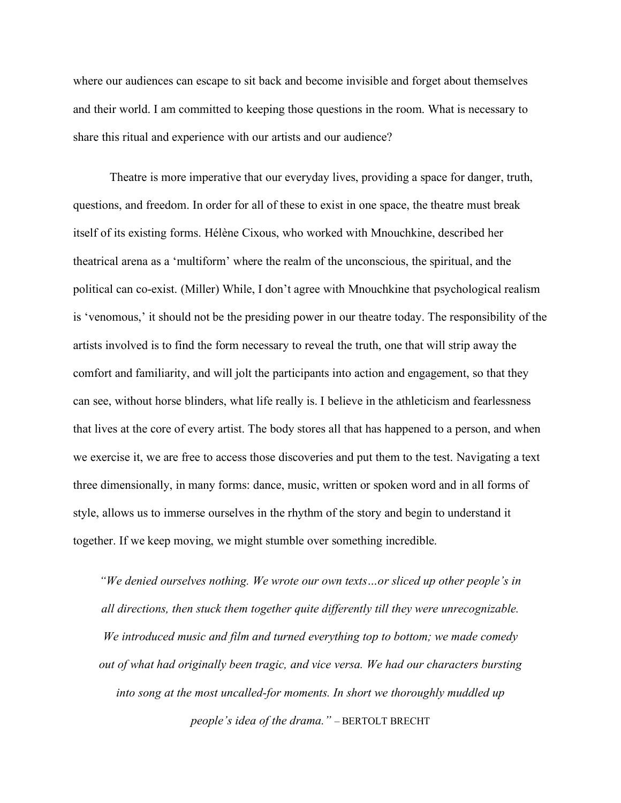where our audiences can escape to sit back and become invisible and forget about themselves and their world. I am committed to keeping those questions in the room. What is necessary to share this ritual and experience with our artists and our audience?

Theatre is more imperative that our everyday lives, providing a space for danger, truth, questions, and freedom. In order for all of these to exist in one space, the theatre must break itself of its existing forms. Hélène Cixous, who worked with Mnouchkine, described her theatrical arena as a 'multiform' where the realm of the unconscious, the spiritual, and the political can co-exist. (Miller) While, I don't agree with Mnouchkine that psychological realism is 'venomous,' it should not be the presiding power in our theatre today. The responsibility of the artists involved is to find the form necessary to reveal the truth, one that will strip away the comfort and familiarity, and will jolt the participants into action and engagement, so that they can see, without horse blinders, what life really is. I believe in the athleticism and fearlessness that lives at the core of every artist. The body stores all that has happened to a person, and when we exercise it, we are free to access those discoveries and put them to the test. Navigating a text three dimensionally, in many forms: dance, music, written or spoken word and in all forms of style, allows us to immerse ourselves in the rhythm of the story and begin to understand it together. If we keep moving, we might stumble over something incredible.

*"We denied ourselves nothing. We wrote our own texts…or sliced up other people's in all directions, then stuck them together quite differently till they were unrecognizable. We introduced music and film and turned everything top to bottom; we made comedy out of what had originally been tragic, and vice versa. We had our characters bursting into song at the most uncalled-for moments. In short we thoroughly muddled up people's idea of the drama."* – BERTOLT BRECHT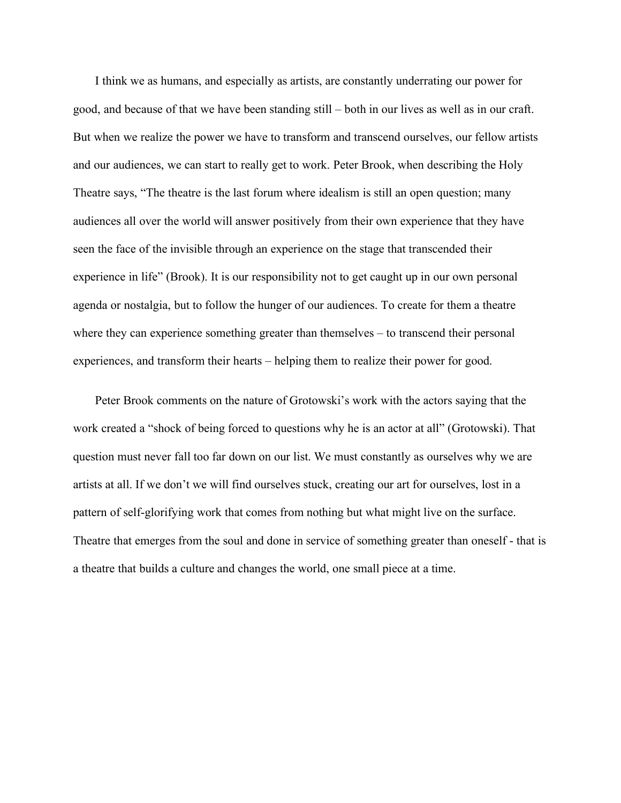I think we as humans, and especially as artists, are constantly underrating our power for good, and because of that we have been standing still – both in our lives as well as in our craft. But when we realize the power we have to transform and transcend ourselves, our fellow artists and our audiences, we can start to really get to work. Peter Brook, when describing the Holy Theatre says, "The theatre is the last forum where idealism is still an open question; many audiences all over the world will answer positively from their own experience that they have seen the face of the invisible through an experience on the stage that transcended their experience in life" (Brook). It is our responsibility not to get caught up in our own personal agenda or nostalgia, but to follow the hunger of our audiences. To create for them a theatre where they can experience something greater than themselves – to transcend their personal experiences, and transform their hearts – helping them to realize their power for good.

Peter Brook comments on the nature of Grotowski's work with the actors saying that the work created a "shock of being forced to questions why he is an actor at all" (Grotowski). That question must never fall too far down on our list. We must constantly as ourselves why we are artists at all. If we don't we will find ourselves stuck, creating our art for ourselves, lost in a pattern of self-glorifying work that comes from nothing but what might live on the surface. Theatre that emerges from the soul and done in service of something greater than oneself - that is a theatre that builds a culture and changes the world, one small piece at a time.